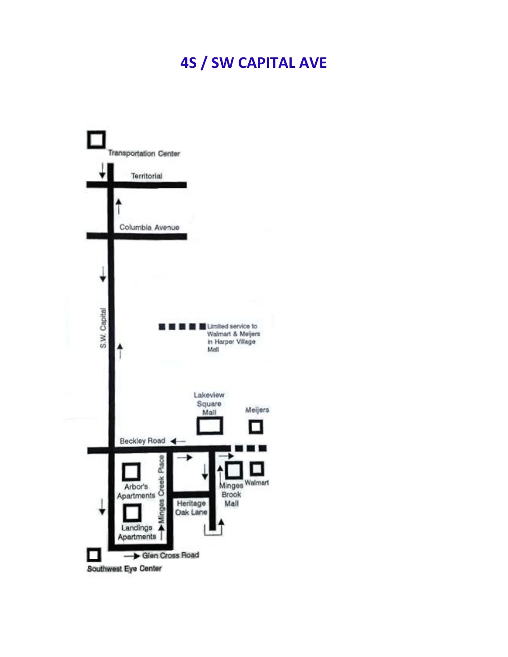## **4S / SW CAPITAL AVE**